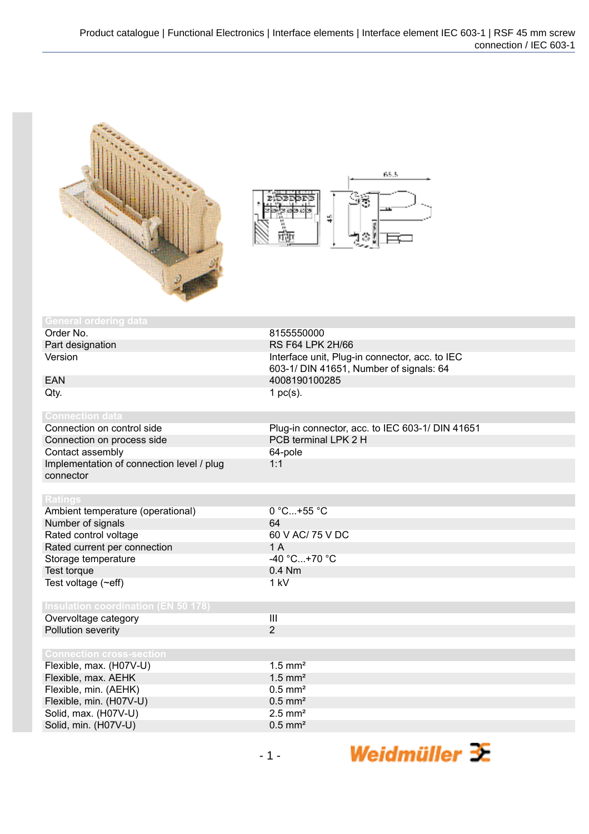



| <b>General ordering data</b>               |                                                 |
|--------------------------------------------|-------------------------------------------------|
| Order No.                                  | 8155550000                                      |
| Part designation                           | <b>RS F64 LPK 2H/66</b>                         |
| Version                                    | Interface unit, Plug-in connector, acc. to IEC  |
|                                            | 603-1/ DIN 41651, Number of signals: 64         |
| <b>EAN</b>                                 | 4008190100285                                   |
| Qty.                                       | 1 $pc(s)$ .                                     |
|                                            |                                                 |
| <b>Connection data</b>                     |                                                 |
| Connection on control side                 | Plug-in connector, acc. to IEC 603-1/ DIN 41651 |
| Connection on process side                 | PCB terminal LPK 2 H                            |
| Contact assembly                           | 64-pole                                         |
| Implementation of connection level / plug  | 1:1                                             |
| connector                                  |                                                 |
|                                            |                                                 |
| <b>Ratings</b>                             |                                                 |
| Ambient temperature (operational)          | 0 °C+55 °C                                      |
| Number of signals                          | 64                                              |
| Rated control voltage                      | 60 V AC/ 75 V DC                                |
| Rated current per connection               | 1A                                              |
| Storage temperature                        | -40 °C+70 °C                                    |
| Test torque                                | 0.4 Nm                                          |
| Test voltage $(\sim eff)$                  | 1 kV                                            |
|                                            |                                                 |
| <b>Insulation coordination (EN 50 178)</b> |                                                 |
| Overvoltage category                       | $\overline{\mathbf{III}}$                       |
| Pollution severity                         | $\overline{2}$                                  |
|                                            |                                                 |
| <b>Connection cross-section</b>            |                                                 |
| Flexible, max. (H07V-U)                    | $1.5$ mm <sup>2</sup>                           |
| Flexible, max. AEHK                        | $1.5$ mm <sup>2</sup>                           |
| Flexible, min. (AEHK)                      | $0.5$ mm <sup>2</sup>                           |
| Flexible, min. (H07V-U)                    | $0.5$ mm <sup>2</sup>                           |
| Solid, max. (H07V-U)                       | $2.5$ mm <sup>2</sup>                           |
| Solid, min. (H07V-U)                       | $0.5$ mm <sup>2</sup>                           |

Weidmüller <